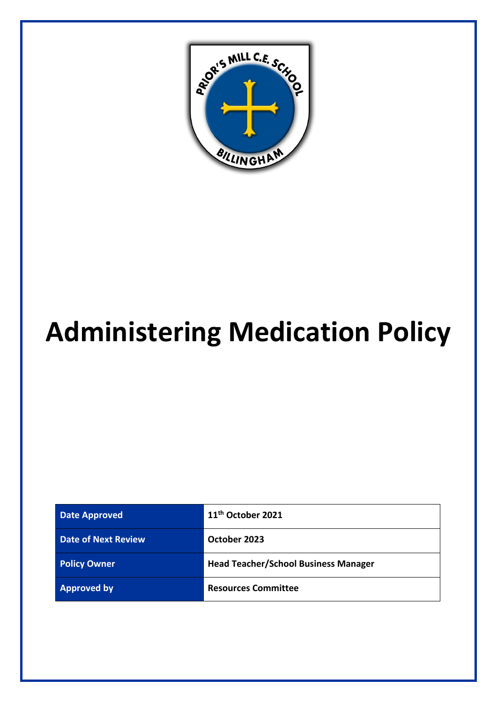

# **Administering Medication Policy**

| <b>Date Approved</b>       | 11 <sup>th</sup> October 2021               |
|----------------------------|---------------------------------------------|
| <b>Date of Next Review</b> | October 2023                                |
| <b>Policy Owner</b>        | <b>Head Teacher/School Business Manager</b> |
| <b>Approved by</b>         | <b>Resources Committee</b>                  |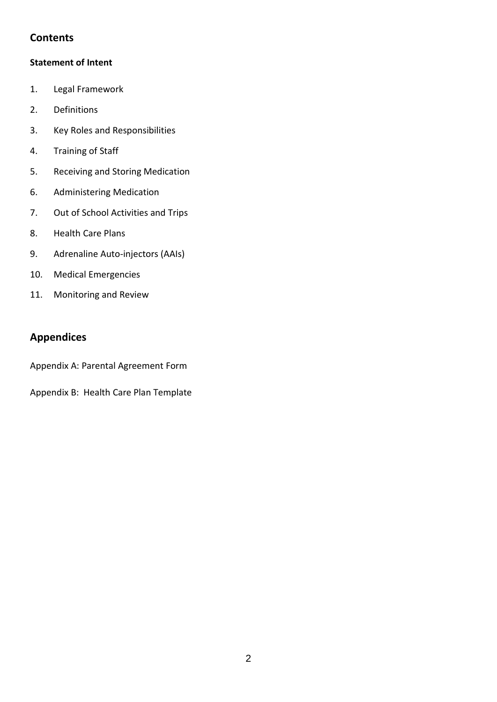## **Contents**

#### **Statement of Intent**

- 1. Legal Framework
- 2. Definitions
- 3. Key Roles and Responsibilities
- 4. Training of Staff
- 5. Receiving and Storing Medication
- 6. Administering Medication
- 7. Out of School Activities and Trips
- 8. Health Care Plans
- 9. Adrenaline Auto-injectors (AAIs)
- 10. Medical Emergencies
- 11. Monitoring and Review

## **Appendices**

Appendix A: Parental Agreement Form

Appendix B: Health Care Plan Template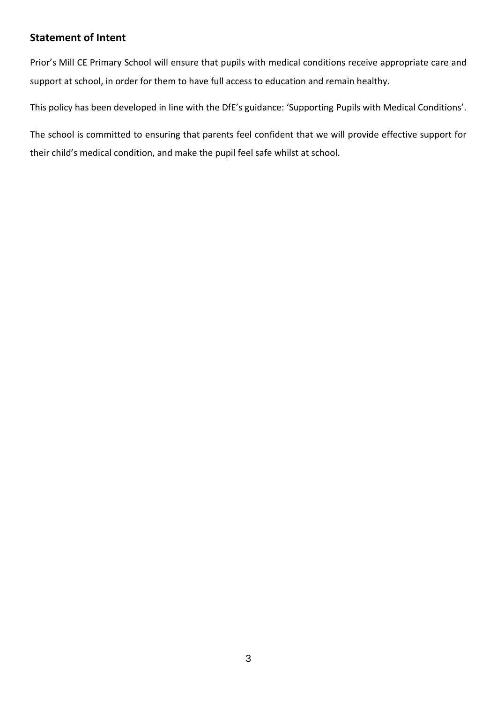### **Statement of Intent**

Prior's Mill CE Primary School will ensure that pupils with medical conditions receive appropriate care and support at school, in order for them to have full access to education and remain healthy.

This policy has been developed in line with the DfE's guidance: 'Supporting Pupils with Medical Conditions'.

The school is committed to ensuring that parents feel confident that we will provide effective support for their child's medical condition, and make the pupil feel safe whilst at school.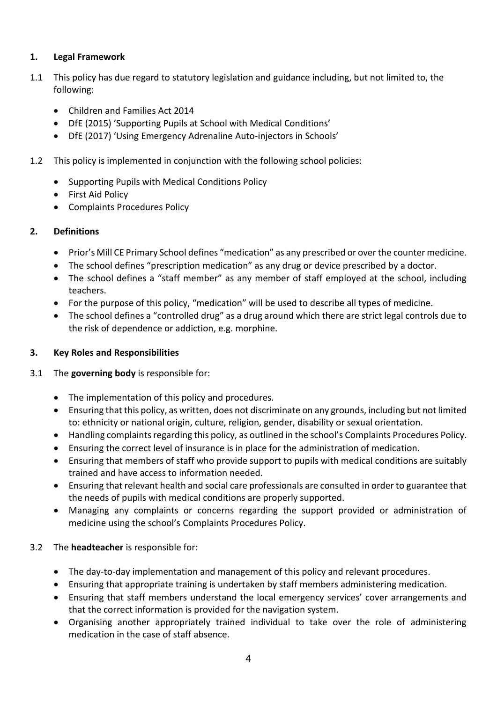#### **1. Legal Framework**

- 1.1 This policy has due regard to statutory legislation and guidance including, but not limited to, the following:
	- Children and Families Act 2014
	- DfE (2015) 'Supporting Pupils at School with Medical Conditions'
	- DfE (2017) 'Using Emergency Adrenaline Auto-injectors in Schools'
- 1.2 This policy is implemented in conjunction with the following school policies:
	- Supporting Pupils with Medical Conditions Policy
	- First Aid Policy
	- Complaints Procedures Policy

#### **2. Definitions**

- Prior's Mill CE Primary School defines "medication" as any prescribed or over the counter medicine.
- The school defines "prescription medication" as any drug or device prescribed by a doctor.
- The school defines a "staff member" as any member of staff employed at the school, including teachers.
- For the purpose of this policy, "medication" will be used to describe all types of medicine.
- The school defines a "controlled drug" as a drug around which there are strict legal controls due to the risk of dependence or addiction, e.g. morphine.

#### **3. Key Roles and Responsibilities**

#### 3.1 The **governing body** is responsible for:

- The implementation of this policy and procedures.
- Ensuring that this policy, as written, does not discriminate on any grounds, including but not limited to: ethnicity or national origin, culture, religion, gender, disability or sexual orientation.
- Handling complaints regarding this policy, as outlined in the school's Complaints Procedures Policy.
- Ensuring the correct level of insurance is in place for the administration of medication.
- Ensuring that members of staff who provide support to pupils with medical conditions are suitably trained and have access to information needed.
- Ensuring that relevant health and social care professionals are consulted in order to guarantee that the needs of pupils with medical conditions are properly supported.
- Managing any complaints or concerns regarding the support provided or administration of medicine using the school's Complaints Procedures Policy.

#### 3.2 The **headteacher** is responsible for:

- The day-to-day implementation and management of this policy and relevant procedures.
- Ensuring that appropriate training is undertaken by staff members administering medication.
- Ensuring that staff members understand the local emergency services' cover arrangements and that the correct information is provided for the navigation system.
- Organising another appropriately trained individual to take over the role of administering medication in the case of staff absence.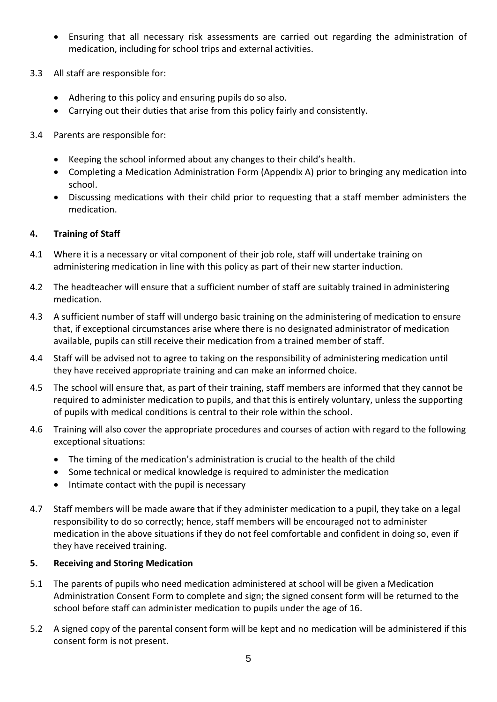- Ensuring that all necessary risk assessments are carried out regarding the administration of medication, including for school trips and external activities.
- 3.3 All staff are responsible for:
	- Adhering to this policy and ensuring pupils do so also.
	- Carrying out their duties that arise from this policy fairly and consistently.
- 3.4 Parents are responsible for:
	- Keeping the school informed about any changes to their child's health.
	- Completing a Medication Administration Form (Appendix A) prior to bringing any medication into school.
	- Discussing medications with their child prior to requesting that a staff member administers the medication.

#### **4. Training of Staff**

- 4.1 Where it is a necessary or vital component of their job role, staff will undertake training on administering medication in line with this policy as part of their new starter induction.
- 4.2 The headteacher will ensure that a sufficient number of staff are suitably trained in administering medication.
- 4.3 A sufficient number of staff will undergo basic training on the administering of medication to ensure that, if exceptional circumstances arise where there is no designated administrator of medication available, pupils can still receive their medication from a trained member of staff.
- 4.4 Staff will be advised not to agree to taking on the responsibility of administering medication until they have received appropriate training and can make an informed choice.
- 4.5 The school will ensure that, as part of their training, staff members are informed that they cannot be required to administer medication to pupils, and that this is entirely voluntary, unless the supporting of pupils with medical conditions is central to their role within the school.
- 4.6 Training will also cover the appropriate procedures and courses of action with regard to the following exceptional situations:
	- The timing of the medication's administration is crucial to the health of the child
	- Some technical or medical knowledge is required to administer the medication
	- Intimate contact with the pupil is necessary
- 4.7 Staff members will be made aware that if they administer medication to a pupil, they take on a legal responsibility to do so correctly; hence, staff members will be encouraged not to administer medication in the above situations if they do not feel comfortable and confident in doing so, even if they have received training.

#### **5. Receiving and Storing Medication**

- 5.1 The parents of pupils who need medication administered at school will be given a Medication Administration Consent Form to complete and sign; the signed consent form will be returned to the school before staff can administer medication to pupils under the age of 16.
- 5.2 A signed copy of the parental consent form will be kept and no medication will be administered if this consent form is not present.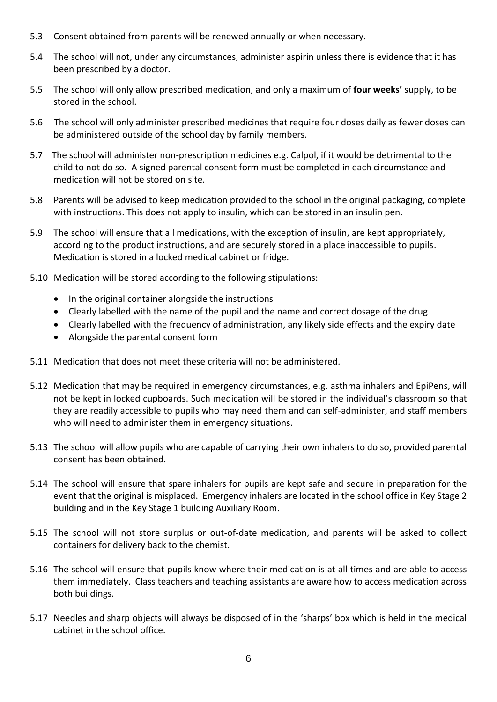- 5.3 Consent obtained from parents will be renewed annually or when necessary.
- 5.4 The school will not, under any circumstances, administer aspirin unless there is evidence that it has been prescribed by a doctor.
- 5.5 The school will only allow prescribed medication, and only a maximum of **four weeks'** supply, to be stored in the school.
- 5.6 The school will only administer prescribed medicines that require four doses daily as fewer doses can be administered outside of the school day by family members.
- 5.7 The school will administer non-prescription medicines e.g. Calpol, if it would be detrimental to the child to not do so. A signed parental consent form must be completed in each circumstance and medication will not be stored on site.
- 5.8 Parents will be advised to keep medication provided to the school in the original packaging, complete with instructions. This does not apply to insulin, which can be stored in an insulin pen.
- 5.9 The school will ensure that all medications, with the exception of insulin, are kept appropriately, according to the product instructions, and are securely stored in a place inaccessible to pupils. Medication is stored in a locked medical cabinet or fridge.
- 5.10 Medication will be stored according to the following stipulations:
	- In the original container alongside the instructions
	- Clearly labelled with the name of the pupil and the name and correct dosage of the drug
	- Clearly labelled with the frequency of administration, any likely side effects and the expiry date
	- Alongside the parental consent form
- 5.11 Medication that does not meet these criteria will not be administered.
- 5.12 Medication that may be required in emergency circumstances, e.g. asthma inhalers and EpiPens, will not be kept in locked cupboards. Such medication will be stored in the individual's classroom so that they are readily accessible to pupils who may need them and can self-administer, and staff members who will need to administer them in emergency situations.
- 5.13 The school will allow pupils who are capable of carrying their own inhalers to do so, provided parental consent has been obtained.
- 5.14 The school will ensure that spare inhalers for pupils are kept safe and secure in preparation for the event that the original is misplaced. Emergency inhalers are located in the school office in Key Stage 2 building and in the Key Stage 1 building Auxiliary Room.
- 5.15 The school will not store surplus or out-of-date medication, and parents will be asked to collect containers for delivery back to the chemist.
- 5.16 The school will ensure that pupils know where their medication is at all times and are able to access them immediately. Class teachers and teaching assistants are aware how to access medication across both buildings.
- 5.17 Needles and sharp objects will always be disposed of in the 'sharps' box which is held in the medical cabinet in the school office.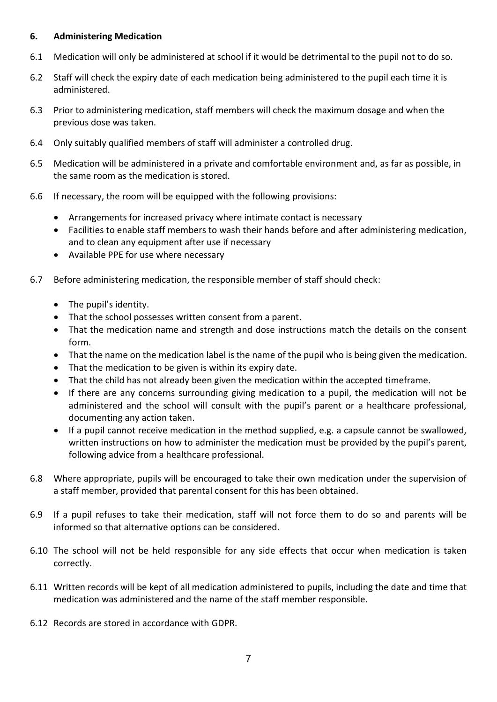#### **6. Administering Medication**

- 6.1 Medication will only be administered at school if it would be detrimental to the pupil not to do so.
- 6.2 Staff will check the expiry date of each medication being administered to the pupil each time it is administered.
- 6.3 Prior to administering medication, staff members will check the maximum dosage and when the previous dose was taken.
- 6.4 Only suitably qualified members of staff will administer a controlled drug.
- 6.5 Medication will be administered in a private and comfortable environment and, as far as possible, in the same room as the medication is stored.
- 6.6 If necessary, the room will be equipped with the following provisions:
	- Arrangements for increased privacy where intimate contact is necessary
	- Facilities to enable staff members to wash their hands before and after administering medication, and to clean any equipment after use if necessary
	- Available PPE for use where necessary
- 6.7 Before administering medication, the responsible member of staff should check:
	- The pupil's identity.
	- That the school possesses written consent from a parent.
	- That the medication name and strength and dose instructions match the details on the consent form.
	- That the name on the medication label is the name of the pupil who is being given the medication.
	- That the medication to be given is within its expiry date.
	- That the child has not already been given the medication within the accepted timeframe.
	- If there are any concerns surrounding giving medication to a pupil, the medication will not be administered and the school will consult with the pupil's parent or a healthcare professional, documenting any action taken.
	- If a pupil cannot receive medication in the method supplied, e.g. a capsule cannot be swallowed, written instructions on how to administer the medication must be provided by the pupil's parent, following advice from a healthcare professional.
- 6.8 Where appropriate, pupils will be encouraged to take their own medication under the supervision of a staff member, provided that parental consent for this has been obtained.
- 6.9 If a pupil refuses to take their medication, staff will not force them to do so and parents will be informed so that alternative options can be considered.
- 6.10 The school will not be held responsible for any side effects that occur when medication is taken correctly.
- 6.11 Written records will be kept of all medication administered to pupils, including the date and time that medication was administered and the name of the staff member responsible.
- 6.12 Records are stored in accordance with GDPR.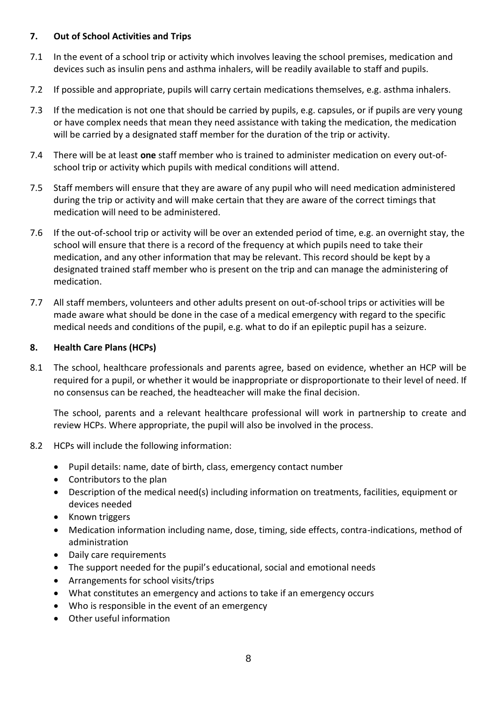#### **7. Out of School Activities and Trips**

- 7.1 In the event of a school trip or activity which involves leaving the school premises, medication and devices such as insulin pens and asthma inhalers, will be readily available to staff and pupils.
- 7.2 If possible and appropriate, pupils will carry certain medications themselves, e.g. asthma inhalers.
- 7.3 If the medication is not one that should be carried by pupils, e.g. capsules, or if pupils are very young or have complex needs that mean they need assistance with taking the medication, the medication will be carried by a designated staff member for the duration of the trip or activity.
- 7.4 There will be at least **one** staff member who is trained to administer medication on every out-ofschool trip or activity which pupils with medical conditions will attend.
- 7.5 Staff members will ensure that they are aware of any pupil who will need medication administered during the trip or activity and will make certain that they are aware of the correct timings that medication will need to be administered.
- 7.6 If the out-of-school trip or activity will be over an extended period of time, e.g. an overnight stay, the school will ensure that there is a record of the frequency at which pupils need to take their medication, and any other information that may be relevant. This record should be kept by a designated trained staff member who is present on the trip and can manage the administering of medication.
- 7.7 All staff members, volunteers and other adults present on out-of-school trips or activities will be made aware what should be done in the case of a medical emergency with regard to the specific medical needs and conditions of the pupil, e.g. what to do if an epileptic pupil has a seizure.

#### **8. Health Care Plans (HCPs)**

8.1 The school, healthcare professionals and parents agree, based on evidence, whether an HCP will be required for a pupil, or whether it would be inappropriate or disproportionate to their level of need. If no consensus can be reached, the headteacher will make the final decision.

The school, parents and a relevant healthcare professional will work in partnership to create and review HCPs. Where appropriate, the pupil will also be involved in the process.

#### 8.2 HCPs will include the following information:

- Pupil details: name, date of birth, class, emergency contact number
- Contributors to the plan
- Description of the medical need(s) including information on treatments, facilities, equipment or devices needed
- Known triggers
- Medication information including name, dose, timing, side effects, contra-indications, method of administration
- Daily care requirements
- The support needed for the pupil's educational, social and emotional needs
- Arrangements for school visits/trips
- What constitutes an emergency and actions to take if an emergency occurs
- Who is responsible in the event of an emergency
- Other useful information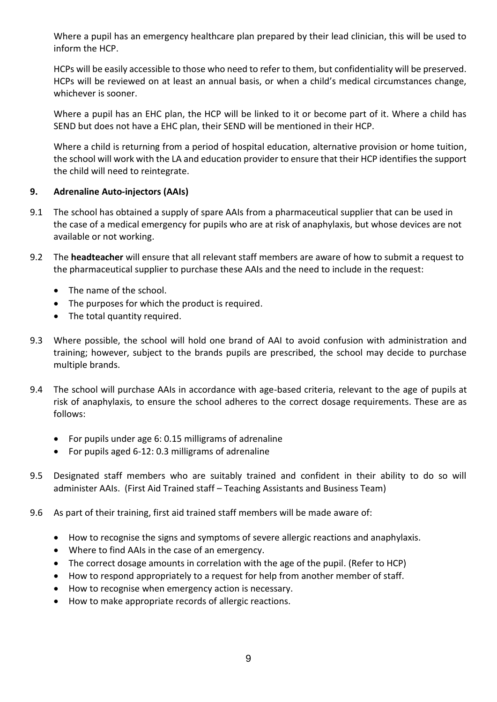Where a pupil has an emergency healthcare plan prepared by their lead clinician, this will be used to inform the HCP.

HCPs will be easily accessible to those who need to refer to them, but confidentiality will be preserved. HCPs will be reviewed on at least an annual basis, or when a child's medical circumstances change, whichever is sooner.

Where a pupil has an EHC plan, the HCP will be linked to it or become part of it. Where a child has SEND but does not have a EHC plan, their SEND will be mentioned in their HCP.

Where a child is returning from a period of hospital education, alternative provision or home tuition, the school will work with the LA and education provider to ensure that their HCP identifies the support the child will need to reintegrate.

#### **9. Adrenaline Auto-injectors (AAIs)**

- 9.1 The school has obtained a supply of spare AAIs from a pharmaceutical supplier that can be used in the case of a medical emergency for pupils who are at risk of anaphylaxis, but whose devices are not available or not working.
- 9.2 The **headteacher** will ensure that all relevant staff members are aware of how to submit a request to the pharmaceutical supplier to purchase these AAIs and the need to include in the request:
	- The name of the school.
	- The purposes for which the product is required.
	- The total quantity required.
- 9.3 Where possible, the school will hold one brand of AAI to avoid confusion with administration and training; however, subject to the brands pupils are prescribed, the school may decide to purchase multiple brands.
- 9.4 The school will purchase AAIs in accordance with age-based criteria, relevant to the age of pupils at risk of anaphylaxis, to ensure the school adheres to the correct dosage requirements. These are as follows:
	- For pupils under age 6: 0.15 milligrams of adrenaline
	- For pupils aged 6-12: 0.3 milligrams of adrenaline
- 9.5 Designated staff members who are suitably trained and confident in their ability to do so will administer AAIs. (First Aid Trained staff – Teaching Assistants and Business Team)
- 9.6 As part of their training, first aid trained staff members will be made aware of:
	- How to recognise the signs and symptoms of severe allergic reactions and anaphylaxis.
	- Where to find AAIs in the case of an emergency.
	- The correct dosage amounts in correlation with the age of the pupil. (Refer to HCP)
	- How to respond appropriately to a request for help from another member of staff.
	- How to recognise when emergency action is necessary.
	- How to make appropriate records of allergic reactions.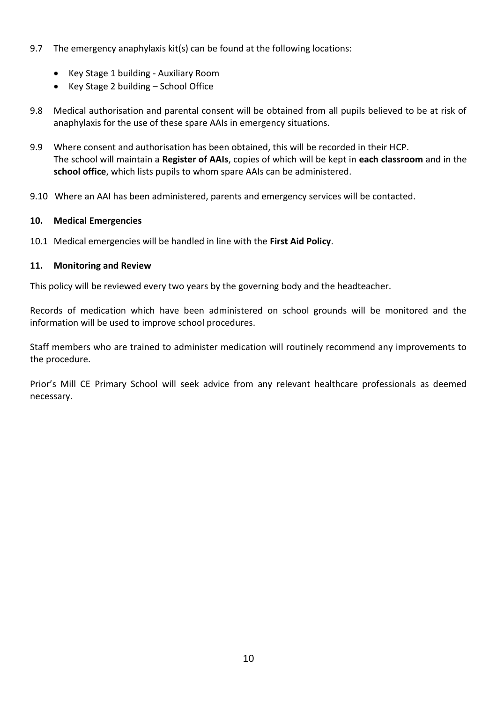- 9.7 The emergency anaphylaxis kit(s) can be found at the following locations:
	- Key Stage 1 building Auxiliary Room
	- Key Stage 2 building School Office
- 9.8 Medical authorisation and parental consent will be obtained from all pupils believed to be at risk of anaphylaxis for the use of these spare AAIs in emergency situations.
- 9.9 Where consent and authorisation has been obtained, this will be recorded in their HCP. The school will maintain a **Register of AAIs**, copies of which will be kept in **each classroom** and in the **school office**, which lists pupils to whom spare AAIs can be administered.
- 9.10 Where an AAI has been administered, parents and emergency services will be contacted.

#### **10. Medical Emergencies**

10.1 Medical emergencies will be handled in line with the **First Aid Policy**.

#### **11. Monitoring and Review**

This policy will be reviewed every two years by the governing body and the headteacher.

Records of medication which have been administered on school grounds will be monitored and the information will be used to improve school procedures.

Staff members who are trained to administer medication will routinely recommend any improvements to the procedure.

Prior's Mill CE Primary School will seek advice from any relevant healthcare professionals as deemed necessary.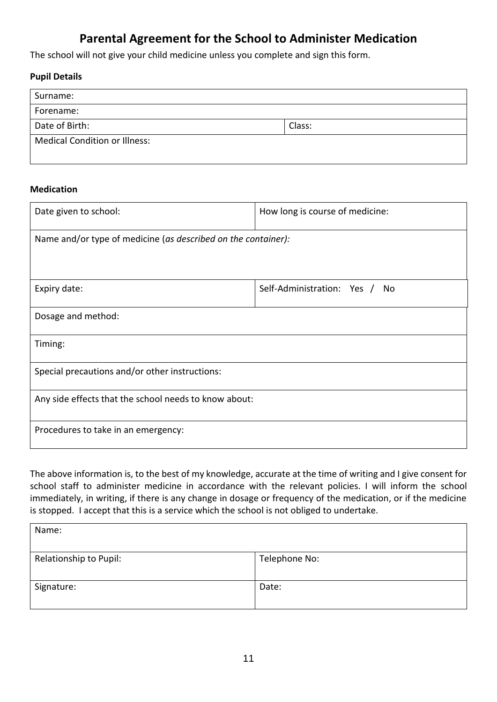## **Parental Agreement for the School to Administer Medication**

The school will not give your child medicine unless you complete and sign this form.

#### **Pupil Details**

| Surname:                             |        |  |
|--------------------------------------|--------|--|
| Forename:                            |        |  |
| Date of Birth:                       | Class: |  |
| <b>Medical Condition or Illness:</b> |        |  |

#### **Medication**

| Date given to school:                                         | How long is course of medicine:   |  |  |  |
|---------------------------------------------------------------|-----------------------------------|--|--|--|
| Name and/or type of medicine (as described on the container): |                                   |  |  |  |
|                                                               |                                   |  |  |  |
| Expiry date:                                                  | Self-Administration: Yes /<br>No. |  |  |  |
| Dosage and method:                                            |                                   |  |  |  |
| Timing:                                                       |                                   |  |  |  |
| Special precautions and/or other instructions:                |                                   |  |  |  |
| Any side effects that the school needs to know about:         |                                   |  |  |  |
| Procedures to take in an emergency:                           |                                   |  |  |  |

The above information is, to the best of my knowledge, accurate at the time of writing and I give consent for school staff to administer medicine in accordance with the relevant policies. I will inform the school immediately, in writing, if there is any change in dosage or frequency of the medication, or if the medicine is stopped. I accept that this is a service which the school is not obliged to undertake.

| Name:                  |               |
|------------------------|---------------|
| Relationship to Pupil: | Telephone No: |
| Signature:             | Date:         |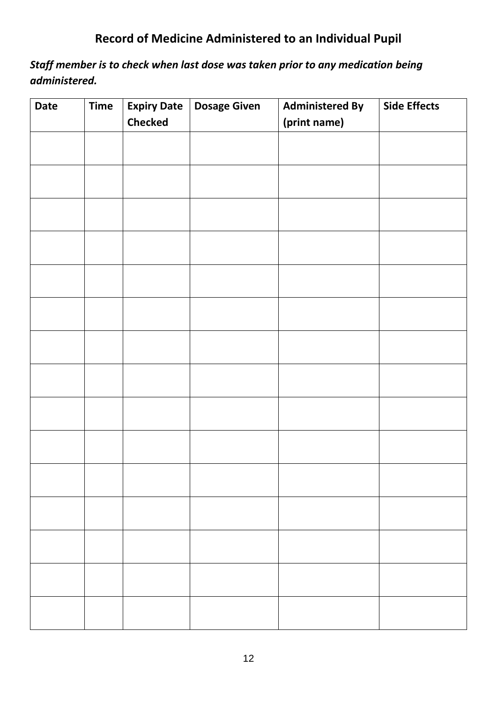# **Record of Medicine Administered to an Individual Pupil**

*Staff member is to check when last dose was taken prior to any medication being administered.*

| <b>Date</b> | <b>Time</b> | <b>Expiry Date</b><br><b>Checked</b> | <b>Dosage Given</b> | <b>Administered By</b><br>(print name) | <b>Side Effects</b> |
|-------------|-------------|--------------------------------------|---------------------|----------------------------------------|---------------------|
|             |             |                                      |                     |                                        |                     |
|             |             |                                      |                     |                                        |                     |
|             |             |                                      |                     |                                        |                     |
|             |             |                                      |                     |                                        |                     |
|             |             |                                      |                     |                                        |                     |
|             |             |                                      |                     |                                        |                     |
|             |             |                                      |                     |                                        |                     |
|             |             |                                      |                     |                                        |                     |
|             |             |                                      |                     |                                        |                     |
|             |             |                                      |                     |                                        |                     |
|             |             |                                      |                     |                                        |                     |
|             |             |                                      |                     |                                        |                     |
|             |             |                                      |                     |                                        |                     |
|             |             |                                      |                     |                                        |                     |
|             |             |                                      |                     |                                        |                     |
|             |             |                                      |                     |                                        |                     |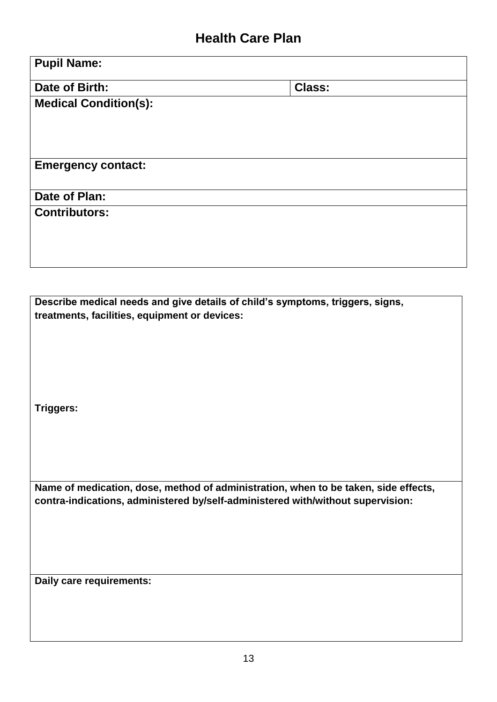# **Health Care Plan**

| <b>Pupil Name:</b>                                                                  |               |
|-------------------------------------------------------------------------------------|---------------|
| Date of Birth:                                                                      | <b>Class:</b> |
| <b>Medical Condition(s):</b>                                                        |               |
|                                                                                     |               |
|                                                                                     |               |
| <b>Emergency contact:</b>                                                           |               |
| Date of Plan:                                                                       |               |
| <b>Contributors:</b>                                                                |               |
|                                                                                     |               |
|                                                                                     |               |
|                                                                                     |               |
| Describe medical needs and give details of child's symptoms, triggers, signs,       |               |
| treatments, facilities, equipment or devices:                                       |               |
|                                                                                     |               |
|                                                                                     |               |
|                                                                                     |               |
| <b>Triggers:</b>                                                                    |               |
|                                                                                     |               |
|                                                                                     |               |
| Name of medication, dose, method of administration, when to be taken, side effects, |               |
| contra-indications, administered by/self-administered with/without supervision:     |               |
|                                                                                     |               |
|                                                                                     |               |
|                                                                                     |               |
| Daily care requirements:                                                            |               |
|                                                                                     |               |
|                                                                                     |               |